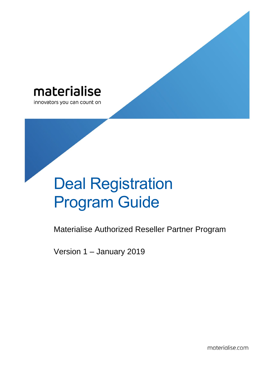

innovators you can count on

# Deal Registration Program Guide

Materialise Authorized Reseller Partner Program

Version 1 – January 2019

materialise.com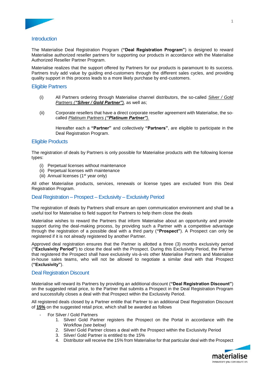

# **Introduction**

The Materialise Deal Registration Program (**"Deal Registration Program"**) is designed to reward Materialise authorized reseller partners for supporting our products in accordance with the Materialise Authorized Reseller Partner Program.

Materialise realizes that the support offered by Partners for our products is paramount to its success. Partners truly add value by guiding end-customers through the different sales cycles, and providing quality support in this process leads to a more likely purchase by end-customers.

## Eligible Partners

- (i) All Partners ordering through Materialise channel distributors, the so-called *Silver / Gold Partners ("Silver / Gold Partner"),* as well as;
- (ii) Corporate resellers that have a direct corporate reseller agreement with Materialise, the socalled *Platinum Partners ("Platinum Partner").*

Hereafter each a **"Partner"** and collectively **"Partners"**, are eligible to participate in the Deal Registration Program.

# Eligible Products

The registration of deals by Partners is only possible for Materialise products with the following license types:

- (i) Perpetual licenses without maintenance
- (ii) Perpetual licenses with maintenance
- (iii) Annual licenses  $(1<sup>st</sup>$  year only)

All other Materialise products, services, renewals or license types are excluded from this Deal Registration Program.

# Deal Registration – Prospect – Exclusivity – Exclusivity Period

The registration of deals by Partners shall ensure an open communication environment and shall be a useful tool for Materialise to field support for Partners to help them close the deals

Materialise wishes to reward the Partners that inform Materialise about an opportunity and provide support during the deal-making process, by providing such a Partner with a competitive advantage through the registration of a possible deal with a third party (**"Prospect"**). A Prospect can only be registered if it is not already registered by another Partner.

Approved deal registration ensures that the Partner is allotted a three (3) months exclusivity period (**"Exclusivity Period"**) to close the deal with the Prospect. During this Exclusivity Period, the Partner that registered the Prospect shall have exclusivity vis-à-vis other Materialise Partners and Materialise in-house sales teams, who will not be allowed to negotiate a similar deal with that Prospect (**"Exclusivity"**).

### Deal Registration Discount

Materialise will reward its Partners by providing an additional discount (**"Deal Registration Discount"**) on the suggested retail price, to the Partner that submits a Prospect in the Deal Registration Program and successfully closes a deal with that Prospect within the Exclusivity Period.

All registered deals closed by a Partner entitle that Partner to an additional Deal Registration Discount of **15%** on the suggested retail price, which shall be awarded as follows

- For Silver / Gold Partners
	- 1. Silver/ Gold Partner registers the Prospect on the Portal in accordance with the Workflow *(see below)*
	- 2. Silver/ Gold Partner closes a deal with the Prospect within the Exclusivity Period
	- 3. Silver/ Gold Partner is entitled to the 15%
	- 4. Distributor will receive the 15% from Materialise for that particular deal with the Prospect

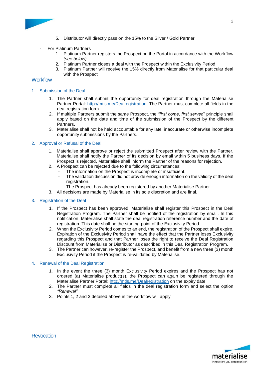

- 5. Distributor will directly pass on the 15% to the Silver / Gold Partner
- For Platinum Partners
	- 1. Platinum Partner registers the Prospect on the Portal in accordance with the Workflow *(see below)*
	- 2. Platinum Partner closes a deal with the Prospect within the Exclusivity Period
	- 3. Platinum Partner will receive the 15% directly from Materialise for that particular deal with the Prospect

## **Workflow**

- 1. Submission of the Deal
	- 1. The Partner shall submit the opportunity for deal registration through the Materialise Partner Portal: [http://mtls.me/Dealregistration.](http://mtls.me/Dealregistration) The Partner must complete all fields in the deal registration form.
	- 2. If multiple Partners submit the same Prospect, the *"first come, first served"* principle shall apply based on the date and time of the submission of the Prospect by the different Partners.
	- 3. Materialise shall not be held accountable for any late, inaccurate or otherwise incomplete opportunity submissions by the Partners.

#### 2. Approval or Refusal of the Deal

- 1. Materialise shall approve or reject the submitted Prospect after review with the Partner. Materialise shall notify the Partner of its decision by email within 5 business days. If the Prospect is rejected, Materialise shall inform the Partner of the reasons for rejection.
- 2. A Prospect can be rejected due to the following circumstances:
	- The information on the Prospect is incomplete or insufficient.
	- The validation discussion did not provide enough information on the validity of the deal registration.
	- The Prospect has already been registered by another Materialise Partner.
- 3. All decisions are made by Materialise in its sole discretion and are final.

#### 3. Registration of the Deal

- 1. If the Prospect has been approved, Materialise shall register this Prospect in the Deal Registration Program. The Partner shall be notified of the registration by email. In this notification, Materialise shall state the deal registration reference number and the date of registration. This date shall be the starting point of the Exclusivity Period.
- 2. When the Exclusivity Period comes to an end, the registration of the Prospect shall expire. Expiration of the Exclusivity Period shall have the effect that the Partner loses Exclusivity regarding this Prospect and that Partner loses the right to receive the Deal Registration Discount from Materialise or Distributor as described in this Deal Registration Program.
- 3. The Partner can however, re-register the Prospect, and benefit from a new three (3) month Exclusivity Period if the Prospect is re-validated by Materialise.

#### 4. Renewal of the Deal Registration

- 1. In the event the three (3) month Exclusivity Period expires and the Prospect has not ordered (a) Materialise product(s), the Prospect can again be registered through the Materialise Partner Portal:<http://mtls.me/Dealregistration> on the expiry date.
- 2. The Partner must complete all fields in the deal registration form and select the option *"Renewal"*.
- 3. Points 1, 2 and 3 detailed above in the workflow will apply.